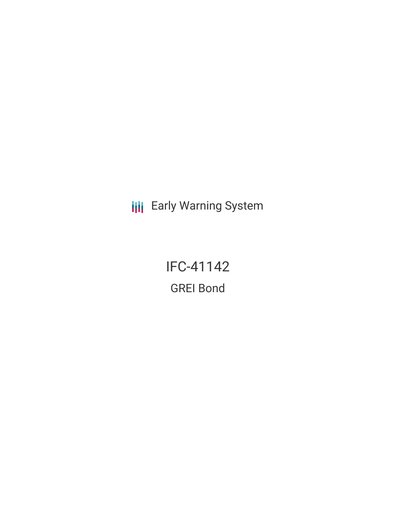**III** Early Warning System

IFC-41142 GREI Bond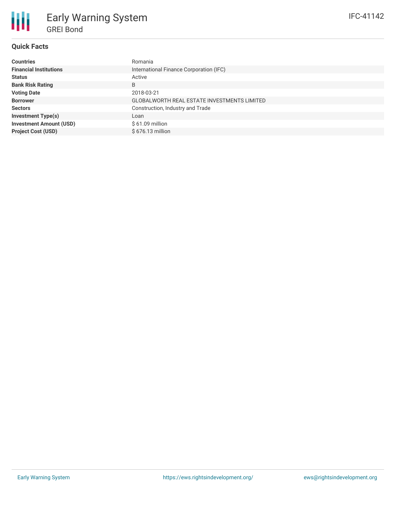

# **Quick Facts**

| <b>Countries</b>               | Romania                                     |
|--------------------------------|---------------------------------------------|
| <b>Financial Institutions</b>  | International Finance Corporation (IFC)     |
| <b>Status</b>                  | Active                                      |
| <b>Bank Risk Rating</b>        | B                                           |
| <b>Voting Date</b>             | 2018-03-21                                  |
| <b>Borrower</b>                | GLOBALWORTH REAL ESTATE INVESTMENTS LIMITED |
| <b>Sectors</b>                 | Construction, Industry and Trade            |
| <b>Investment Type(s)</b>      | Loan                                        |
| <b>Investment Amount (USD)</b> | $$61.09$ million                            |
| <b>Project Cost (USD)</b>      | $$676.13$ million                           |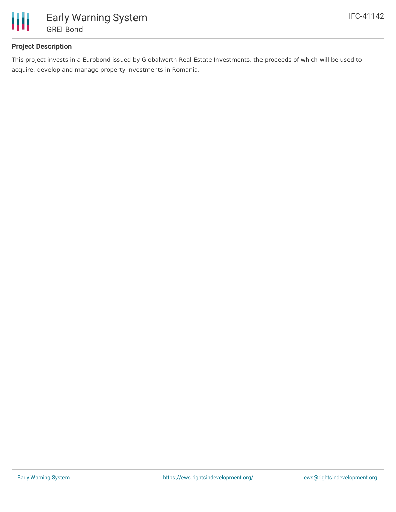

## **Project Description**

This project invests in a Eurobond issued by Globalworth Real Estate Investments, the proceeds of which will be used to acquire, develop and manage property investments in Romania.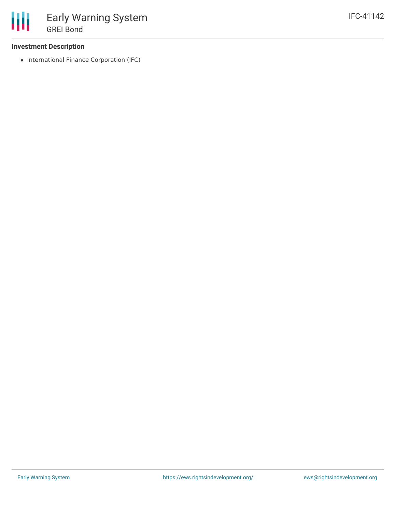### **Investment Description**

• International Finance Corporation (IFC)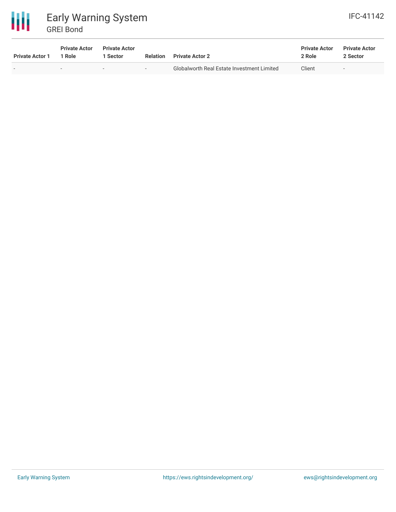



| <b>Private Actor 1</b> | <b>Private Actor</b><br>1 Role | <b>Private Actor</b><br>Sector | <b>Relation</b> | <b>Private Actor 2</b>                     | <b>Private Actor</b><br>2 Role | <b>Private Actor</b><br>2 Sector |
|------------------------|--------------------------------|--------------------------------|-----------------|--------------------------------------------|--------------------------------|----------------------------------|
|                        |                                | $\sim$                         | $\sim$          | Globalworth Real Estate Investment Limited | Client                         | $\sim$                           |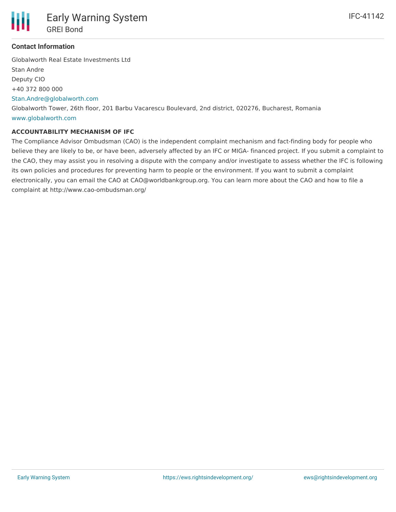

#### **Contact Information**

Globalworth Real Estate Investments Ltd Stan Andre Deputy CIO +40 372 800 000 [Stan.Andre@globalworth.com](mailto:Stan.Andre@globalworth.com) Globalworth Tower, 26th floor, 201 Barbu Vacarescu Boulevard, 2nd district, 020276, Bucharest, Romania [www.globalworth.com](http://www.globalworth.com)

#### **ACCOUNTABILITY MECHANISM OF IFC**

The Compliance Advisor Ombudsman (CAO) is the independent complaint mechanism and fact-finding body for people who believe they are likely to be, or have been, adversely affected by an IFC or MIGA- financed project. If you submit a complaint to the CAO, they may assist you in resolving a dispute with the company and/or investigate to assess whether the IFC is following its own policies and procedures for preventing harm to people or the environment. If you want to submit a complaint electronically, you can email the CAO at CAO@worldbankgroup.org. You can learn more about the CAO and how to file a complaint at http://www.cao-ombudsman.org/